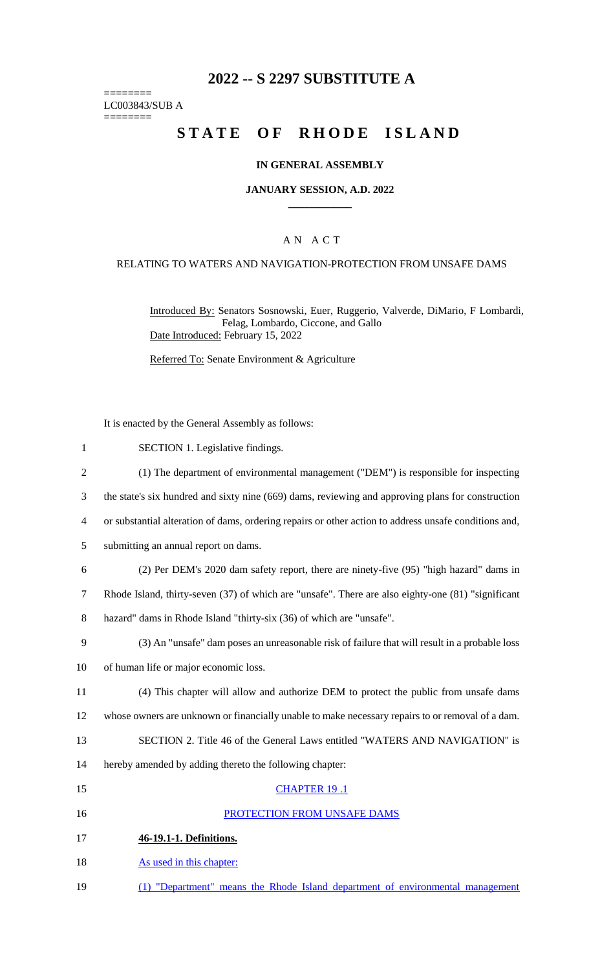# **2022 -- S 2297 SUBSTITUTE A**

======== LC003843/SUB A

========

# **STATE OF RHODE ISLAND**

### **IN GENERAL ASSEMBLY**

### **JANUARY SESSION, A.D. 2022 \_\_\_\_\_\_\_\_\_\_\_\_**

### A N A C T

### RELATING TO WATERS AND NAVIGATION-PROTECTION FROM UNSAFE DAMS

Introduced By: Senators Sosnowski, Euer, Ruggerio, Valverde, DiMario, F Lombardi, Felag, Lombardo, Ciccone, and Gallo Date Introduced: February 15, 2022

Referred To: Senate Environment & Agriculture

It is enacted by the General Assembly as follows:

- 1 SECTION 1. Legislative findings.
- 2 (1) The department of environmental management ("DEM") is responsible for inspecting
- 3 the state's six hundred and sixty nine (669) dams, reviewing and approving plans for construction
- 4 or substantial alteration of dams, ordering repairs or other action to address unsafe conditions and,
- 5 submitting an annual report on dams.
- 6 (2) Per DEM's 2020 dam safety report, there are ninety-five (95) "high hazard" dams in
- 7 Rhode Island, thirty-seven (37) of which are "unsafe". There are also eighty-one (81) "significant
- 8 hazard" dams in Rhode Island "thirty-six (36) of which are "unsafe".
- 9 (3) An "unsafe" dam poses an unreasonable risk of failure that will result in a probable loss
- 10 of human life or major economic loss.
- 11 (4) This chapter will allow and authorize DEM to protect the public from unsafe dams 12 whose owners are unknown or financially unable to make necessary repairs to or removal of a dam.
- 13 SECTION 2. Title 46 of the General Laws entitled "WATERS AND NAVIGATION" is
- 14 hereby amended by adding thereto the following chapter:
- 15 CHAPTER 19 .1 16 PROTECTION FROM UNSAFE DAMS 17 **46-19.1-1. Definitions.** 18 As used in this chapter:
- 19 (1) "Department" means the Rhode Island department of environmental management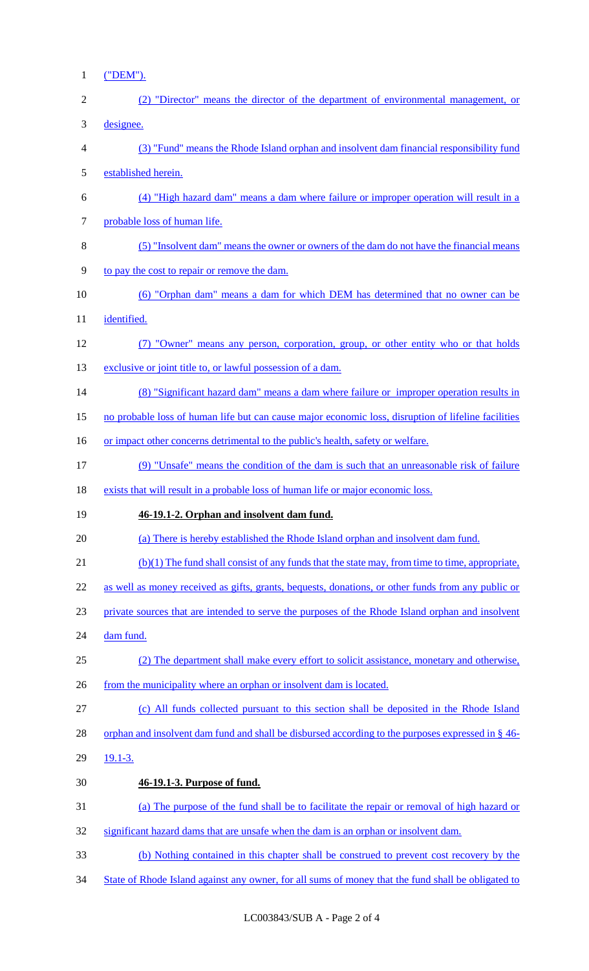1 ("DEM").

| $\overline{2}$ | (2) "Director" means the director of the department of environmental management, or                 |
|----------------|-----------------------------------------------------------------------------------------------------|
| 3              | designee.                                                                                           |
| 4              | (3) "Fund" means the Rhode Island orphan and insolvent dam financial responsibility fund            |
| 5              | established herein.                                                                                 |
| 6              | (4) "High hazard dam" means a dam where failure or improper operation will result in a              |
| 7              | probable loss of human life.                                                                        |
| 8              | (5) "Insolvent dam" means the owner or owners of the dam do not have the financial means            |
| 9              | to pay the cost to repair or remove the dam.                                                        |
| 10             | (6) "Orphan dam" means a dam for which DEM has determined that no owner can be                      |
| 11             | identified.                                                                                         |
| 12             | (7) "Owner" means any person, corporation, group, or other entity who or that holds                 |
| 13             | exclusive or joint title to, or lawful possession of a dam.                                         |
| 14             | (8) "Significant hazard dam" means a dam where failure or improper operation results in             |
| 15             | no probable loss of human life but can cause major economic loss, disruption of lifeline facilities |
| 16             | or impact other concerns detrimental to the public's health, safety or welfare.                     |
| 17             | (9) "Unsafe" means the condition of the dam is such that an unreasonable risk of failure            |
| 18             | exists that will result in a probable loss of human life or major economic loss.                    |
| 19             | 46-19.1-2. Orphan and insolvent dam fund.                                                           |
| 20             | (a) There is hereby established the Rhode Island orphan and insolvent dam fund.                     |
| 21             | (b)(1) The fund shall consist of any funds that the state may, from time to time, appropriate,      |
| 22             | as well as money received as gifts, grants, bequests, donations, or other funds from any public or  |
| 23             | private sources that are intended to serve the purposes of the Rhode Island orphan and insolvent    |
| 24             | dam fund.                                                                                           |
| 25             | (2) The department shall make every effort to solicit assistance, monetary and otherwise,           |
| 26             | from the municipality where an orphan or insolvent dam is located.                                  |
| 27             | (c) All funds collected pursuant to this section shall be deposited in the Rhode Island             |
| 28             | orphan and insolvent dam fund and shall be disbursed according to the purposes expressed in § 46-   |
| 29             | $19.1 - 3.$                                                                                         |
| 30             | 46-19.1-3. Purpose of fund.                                                                         |
|                |                                                                                                     |
| 31             | (a) The purpose of the fund shall be to facilitate the repair or removal of high hazard or          |
| 32             | significant hazard dams that are unsafe when the dam is an orphan or insolvent dam.                 |
| 33             | (b) Nothing contained in this chapter shall be construed to prevent cost recovery by the            |

34 State of Rhode Island against any owner, for all sums of money that the fund shall be obligated to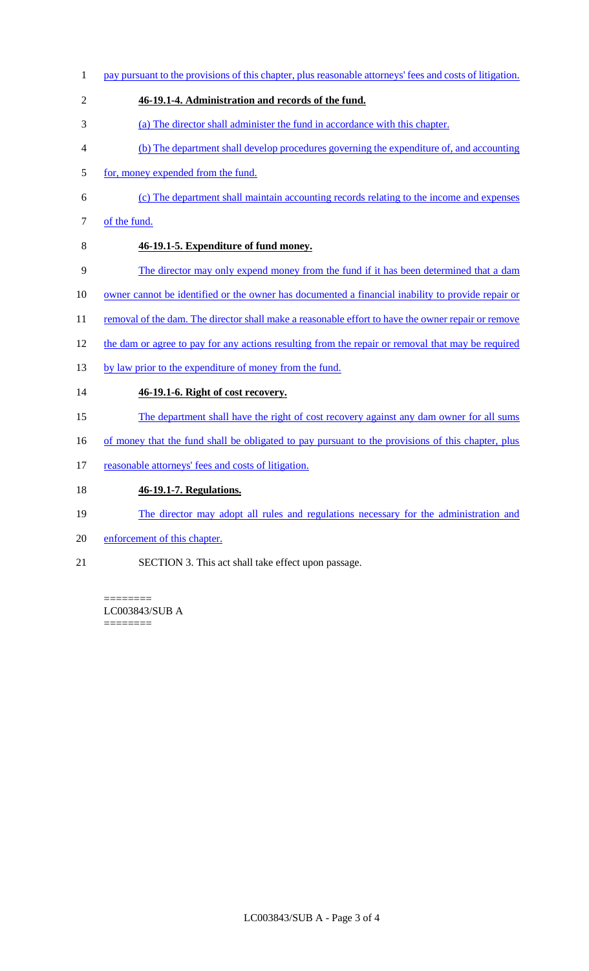- 1 pay pursuant to the provisions of this chapter, plus reasonable attorneys' fees and costs of litigation. 2 **46-19.1-4. Administration and records of the fund.** 3 (a) The director shall administer the fund in accordance with this chapter. 4 (b) The department shall develop procedures governing the expenditure of, and accounting 5 for, money expended from the fund. 6 (c) The department shall maintain accounting records relating to the income and expenses 7 of the fund.
- 

# 8 **46-19.1-5. Expenditure of fund money.**

- 9 The director may only expend money from the fund if it has been determined that a dam
- 10 owner cannot be identified or the owner has documented a financial inability to provide repair or
- 11 removal of the dam. The director shall make a reasonable effort to have the owner repair or remove
- 12 the dam or agree to pay for any actions resulting from the repair or removal that may be required
- 13 by law prior to the expenditure of money from the fund.

## 14 **46-19.1-6. Right of cost recovery.**

- 15 The department shall have the right of cost recovery against any dam owner for all sums
- 16 of money that the fund shall be obligated to pay pursuant to the provisions of this chapter, plus
- 17 reasonable attorneys' fees and costs of litigation.

### 18 **46-19.1-7. Regulations.**

- 19 The director may adopt all rules and regulations necessary for the administration and
- 20 enforcement of this chapter.
- 21 SECTION 3. This act shall take effect upon passage.

### ======== LC003843/SUB A

========